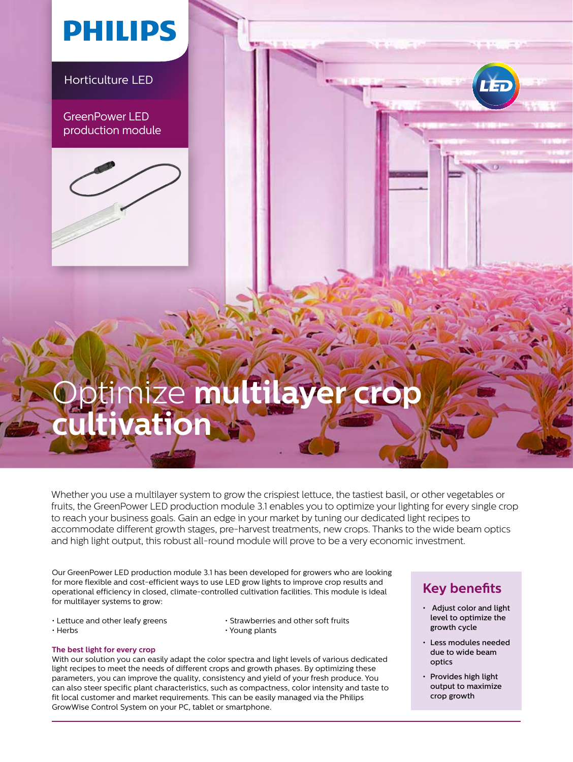### **PHILIPS**

Horticulture LED

GreenPower LED production module



## Optimize **multilayer crop cultivation**

Whether you use a multilayer system to grow the crispiest lettuce, the tastiest basil, or other vegetables or fruits, the GreenPower LED production module 3.1 enables you to optimize your lighting for every single crop to reach your business goals. Gain an edge in your market by tuning our dedicated light recipes to accommodate different growth stages, pre-harvest treatments, new crops. Thanks to the wide beam optics and high light output, this robust all-round module will prove to be a very economic investment.

Our GreenPower LED production module 3.1 has been developed for growers who are looking for more flexible and cost-efficient ways to use LED grow lights to improve crop results and operational efficiency in closed, climate-controlled cultivation facilities. This module is ideal for multilayer systems to grow:

- 
- Lettuce and other leafy greens Strawberries and other soft fruits<br>• Herbs Young plants  $\cdot$  Young plants

#### **The best light for every crop**

With our solution you can easily adapt the color spectra and light levels of various dedicated light recipes to meet the needs of different crops and growth phases. By optimizing these parameters, you can improve the quality, consistency and yield of your fresh produce. You can also steer specific plant characteristics, such as compactness, color intensity and taste to fit local customer and market requirements. This can be easily managed via the Philips GrowWise Control System on your PC, tablet or smartphone.

### **Key benefits**

- Adjust color and light level to optimize the growth cycle
- Less modules needed due to wide beam optics
- Provides high light output to maximize crop growth